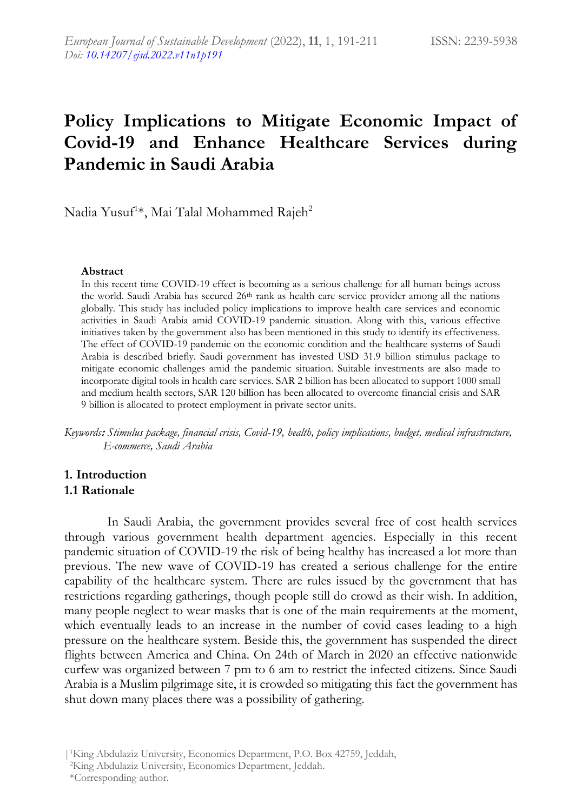# **Policy Implications to Mitigate Economic Impact of Covid-19 and Enhance Healthcare Services during Pandemic in Saudi Arabia**

Nadia Yusuf<sup>1</sup>\*, Mai Talal Mohammed Rajeh<sup>2</sup>

#### **Abstract**

In this recent time COVID-19 effect is becoming as a serious challenge for all human beings across the world. Saudi Arabia has secured 26th rank as health care service provider among all the nations globally. This study has included policy implications to improve health care services and economic activities in Saudi Arabia amid COVID-19 pandemic situation. Along with this, various effective initiatives taken by the government also has been mentioned in this study to identify its effectiveness. The effect of COVID-19 pandemic on the economic condition and the healthcare systems of Saudi Arabia is described briefly. Saudi government has invested USD 31.9 billion stimulus package to mitigate economic challenges amid the pandemic situation. Suitable investments are also made to incorporate digital tools in health care services. SAR 2 billion has been allocated to support 1000 small and medium health sectors, SAR 120 billion has been allocated to overcome financial crisis and SAR 9 billion is allocated to protect employment in private sector units.

*Keywords***:** *Stimulus package, financial crisis, Covid-19, health, policy implications, budget, medical infrastructure, E-commerce, Saudi Arabia*

### **1. Introduction 1.1 Rationale**

In Saudi Arabia, the government provides several free of cost health services through various government health department agencies. Especially in this recent pandemic situation of COVID-19 the risk of being healthy has increased a lot more than previous. The new wave of COVID-19 has created a serious challenge for the entire capability of the healthcare system. There are rules issued by the government that has restrictions regarding gatherings, though people still do crowd as their wish. In addition, many people neglect to wear masks that is one of the main requirements at the moment, which eventually leads to an increase in the number of covid cases leading to a high pressure on the healthcare system. Beside this, the government has suspended the direct flights between America and China. On 24th of March in 2020 an effective nationwide curfew was organized between 7 pm to 6 am to restrict the infected citizens. Since Saudi Arabia is a Muslim pilgrimage site, it is crowded so mitigating this fact the government has shut down many places there was a possibility of gathering.

|1King Abdulaziz University, Economics Department, P.O. Box 42759, Jeddah,

<sup>2</sup>King Abdulaziz University, Economics Department, Jeddah.

\*Corresponding author.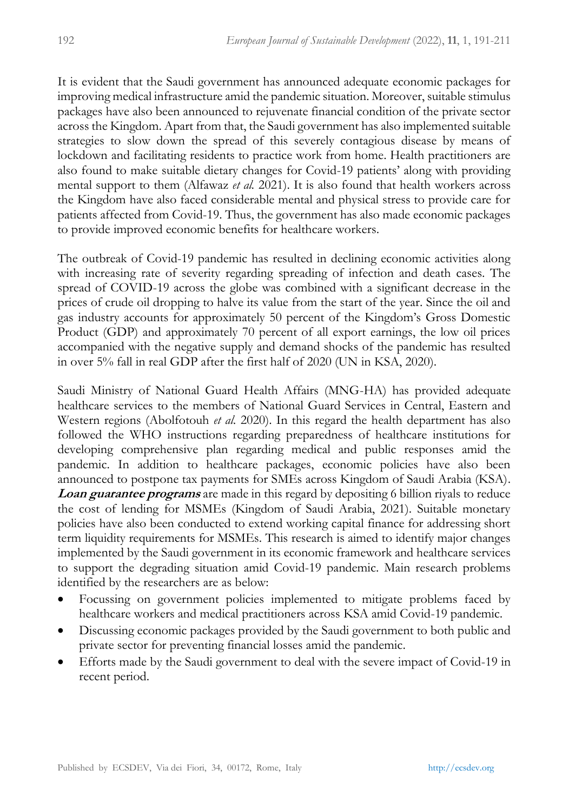It is evident that the Saudi government has announced adequate economic packages for improving medical infrastructure amid the pandemic situation. Moreover, suitable stimulus packages have also been announced to rejuvenate financial condition of the private sector across the Kingdom. Apart from that, the Saudi government has also implemented suitable strategies to slow down the spread of this severely contagious disease by means of lockdown and facilitating residents to practice work from home. Health practitioners are also found to make suitable dietary changes for Covid-19 patients' along with providing mental support to them (Alfawaz *et al.* 2021). It is also found that health workers across the Kingdom have also faced considerable mental and physical stress to provide care for patients affected from Covid-19. Thus, the government has also made economic packages to provide improved economic benefits for healthcare workers.

The outbreak of Covid-19 pandemic has resulted in declining economic activities along with increasing rate of severity regarding spreading of infection and death cases. The spread of COVID-19 across the globe was combined with a significant decrease in the prices of crude oil dropping to halve its value from the start of the year. Since the oil and gas industry accounts for approximately 50 percent of the Kingdom's Gross Domestic Product (GDP) and approximately 70 percent of all export earnings, the low oil prices accompanied with the negative supply and demand shocks of the pandemic has resulted in over 5% fall in real GDP after the first half of 2020 (UN in KSA, 2020).

Saudi Ministry of National Guard Health Affairs (MNG-HA) has provided adequate healthcare services to the members of National Guard Services in Central, Eastern and Western regions (Abolfotouh *et al.* 2020). In this regard the health department has also followed the WHO instructions regarding preparedness of healthcare institutions for developing comprehensive plan regarding medical and public responses amid the pandemic. In addition to healthcare packages, economic policies have also been announced to postpone tax payments for SMEs across Kingdom of Saudi Arabia (KSA). **Loan guarantee programs** are made in this regard by depositing 6 billion riyals to reduce the cost of lending for MSMEs (Kingdom of Saudi Arabia, 2021). Suitable monetary policies have also been conducted to extend working capital finance for addressing short term liquidity requirements for MSMEs. This research is aimed to identify major changes implemented by the Saudi government in its economic framework and healthcare services to support the degrading situation amid Covid-19 pandemic. Main research problems identified by the researchers are as below:

- Focussing on government policies implemented to mitigate problems faced by healthcare workers and medical practitioners across KSA amid Covid-19 pandemic.
- Discussing economic packages provided by the Saudi government to both public and private sector for preventing financial losses amid the pandemic.
- Efforts made by the Saudi government to deal with the severe impact of Covid-19 in recent period.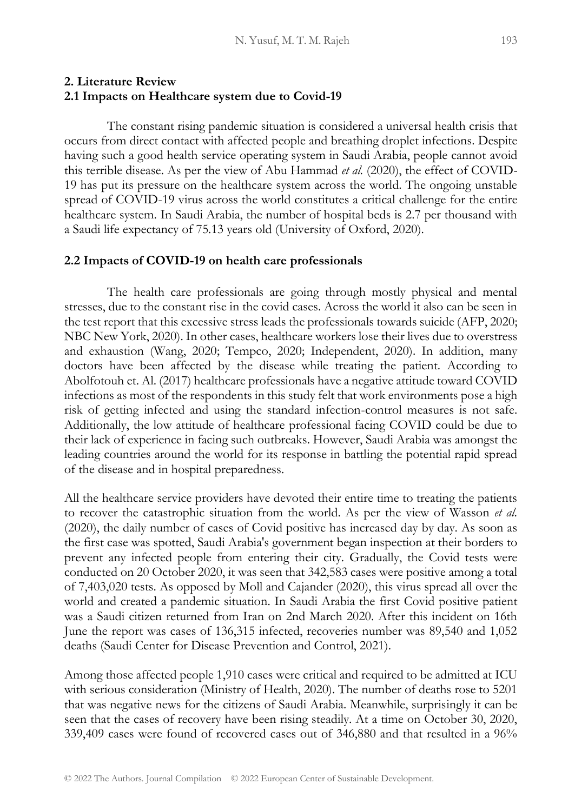### **2. Literature Review 2.1 Impacts on Healthcare system due to Covid-19**

The constant rising pandemic situation is considered a universal health crisis that occurs from direct contact with affected people and breathing droplet infections. Despite having such a good health service operating system in Saudi Arabia, people cannot avoid this terrible disease. As per the view of Abu Hammad *et al.* (2020), the effect of COVID-19 has put its pressure on the healthcare system across the world. The ongoing unstable spread of COVID-19 virus across the world constitutes a critical challenge for the entire healthcare system. In Saudi Arabia, the number of hospital beds is 2.7 per thousand with a Saudi life expectancy of 75.13 years old (University of Oxford, 2020).

#### **2.2 Impacts of COVID-19 on health care professionals**

The health care professionals are going through mostly physical and mental stresses, due to the constant rise in the covid cases. Across the world it also can be seen in the test report that this excessive stress leads the professionals towards suicide (AFP, 2020; NBC New York, 2020). In other cases, healthcare workers lose their lives due to overstress and exhaustion (Wang, 2020; Tempco, 2020; Independent, 2020). In addition, many doctors have been affected by the disease while treating the patient. According to Abolfotouh et. Al. (2017) healthcare professionals have a negative attitude toward COVID infections as most of the respondents in this study felt that work environments pose a high risk of getting infected and using the standard infection-control measures is not safe. Additionally, the low attitude of healthcare professional facing COVID could be due to their lack of experience in facing such outbreaks. However, Saudi Arabia was amongst the leading countries around the world for its response in battling the potential rapid spread of the disease and in hospital preparedness.

All the healthcare service providers have devoted their entire time to treating the patients to recover the catastrophic situation from the world. As per the view of Wasson *et al.*  (2020), the daily number of cases of Covid positive has increased day by day. As soon as the first case was spotted, Saudi Arabia's government began inspection at their borders to prevent any infected people from entering their city. Gradually, the Covid tests were conducted on 20 October 2020, it was seen that 342,583 cases were positive among a total of 7,403,020 tests. As opposed by Moll and Cajander (2020), this virus spread all over the world and created a pandemic situation. In Saudi Arabia the first Covid positive patient was a Saudi citizen returned from Iran on 2nd March 2020. After this incident on 16th June the report was cases of 136,315 infected, recoveries number was 89,540 and 1,052 deaths (Saudi Center for Disease Prevention and Control, 2021).

Among those affected people 1,910 cases were critical and required to be admitted at ICU with serious consideration (Ministry of Health, 2020). The number of deaths rose to 5201 that was negative news for the citizens of Saudi Arabia. Meanwhile, surprisingly it can be seen that the cases of recovery have been rising steadily. At a time on October 30, 2020, 339,409 cases were found of recovered cases out of 346,880 and that resulted in a 96%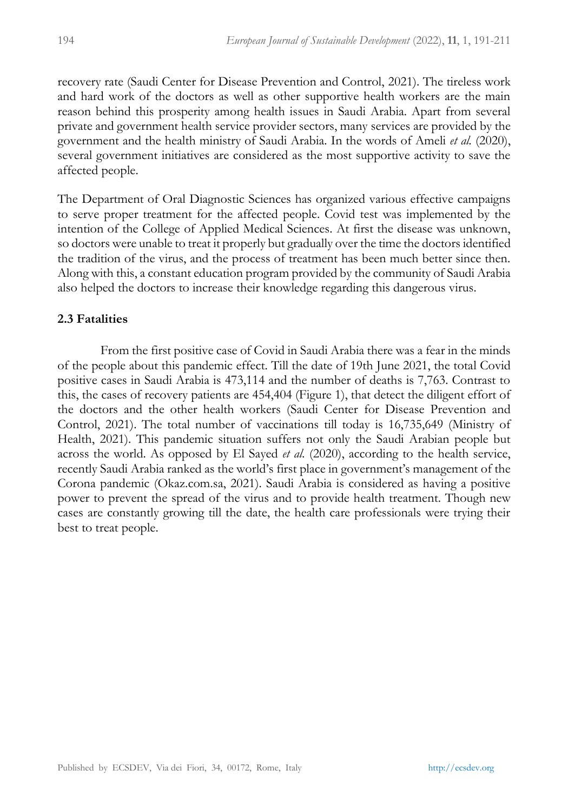recovery rate (Saudi Center for Disease Prevention and Control, 2021). The tireless work and hard work of the doctors as well as other supportive health workers are the main reason behind this prosperity among health issues in Saudi Arabia. Apart from several private and government health service provider sectors, many services are provided by the government and the health ministry of Saudi Arabia. In the words of Ameli *et al.* (2020), several government initiatives are considered as the most supportive activity to save the affected people.

The Department of Oral Diagnostic Sciences has organized various effective campaigns to serve proper treatment for the affected people. Covid test was implemented by the intention of the College of Applied Medical Sciences. At first the disease was unknown, so doctors were unable to treat it properly but gradually over the time the doctors identified the tradition of the virus, and the process of treatment has been much better since then. Along with this, a constant education program provided by the community of Saudi Arabia also helped the doctors to increase their knowledge regarding this dangerous virus.

# **2.3 Fatalities**

From the first positive case of Covid in Saudi Arabia there was a fear in the minds of the people about this pandemic effect. Till the date of 19th June 2021, the total Covid positive cases in Saudi Arabia is 473,114 and the number of deaths is 7,763. Contrast to this, the cases of recovery patients are 454,404 (Figure 1), that detect the diligent effort of the doctors and the other health workers (Saudi Center for Disease Prevention and Control, 2021). The total number of vaccinations till today is 16,735,649 (Ministry of Health, 2021). This pandemic situation suffers not only the Saudi Arabian people but across the world. As opposed by El Sayed *et al.* (2020), according to the health service, recently Saudi Arabia ranked as the world's first place in government's management of the Corona pandemic (Okaz.com.sa, 2021). Saudi Arabia is considered as having a positive power to prevent the spread of the virus and to provide health treatment. Though new cases are constantly growing till the date, the health care professionals were trying their best to treat people.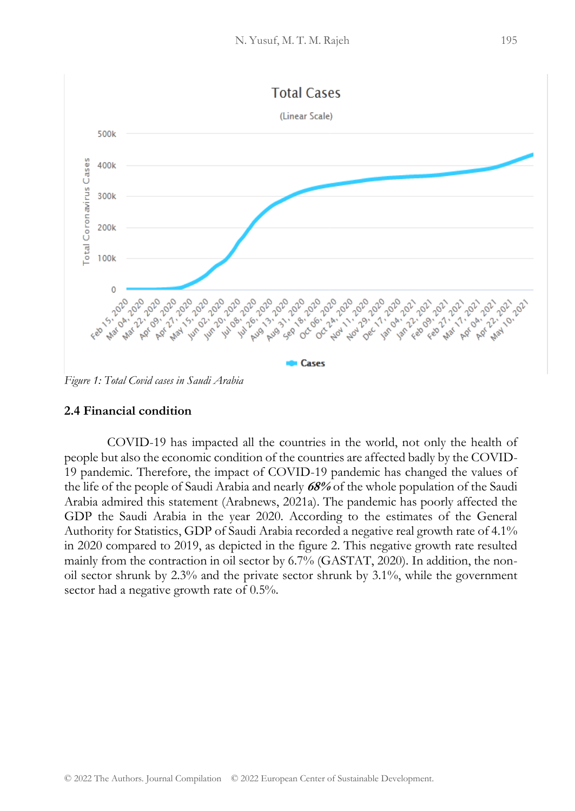

*Figure 1: Total Covid cases in Saudi Arabia* 

### **2.4 Financial condition**

COVID-19 has impacted all the countries in the world, not only the health of people but also the economic condition of the countries are affected badly by the COVID-19 pandemic. Therefore, the impact of COVID-19 pandemic has changed the values of the life of the people of Saudi Arabia and nearly **68%** of the whole population of the Saudi Arabia admired this statement (Arabnews, 2021a). The pandemic has poorly affected the GDP the Saudi Arabia in the year 2020. According to the estimates of the General Authority for Statistics, GDP of Saudi Arabia recorded a negative real growth rate of 4.1% in 2020 compared to 2019, as depicted in the figure 2. This negative growth rate resulted mainly from the contraction in oil sector by 6.7% (GASTAT, 2020). In addition, the nonoil sector shrunk by 2.3% and the private sector shrunk by 3.1%, while the government sector had a negative growth rate of  $0.5\%$ .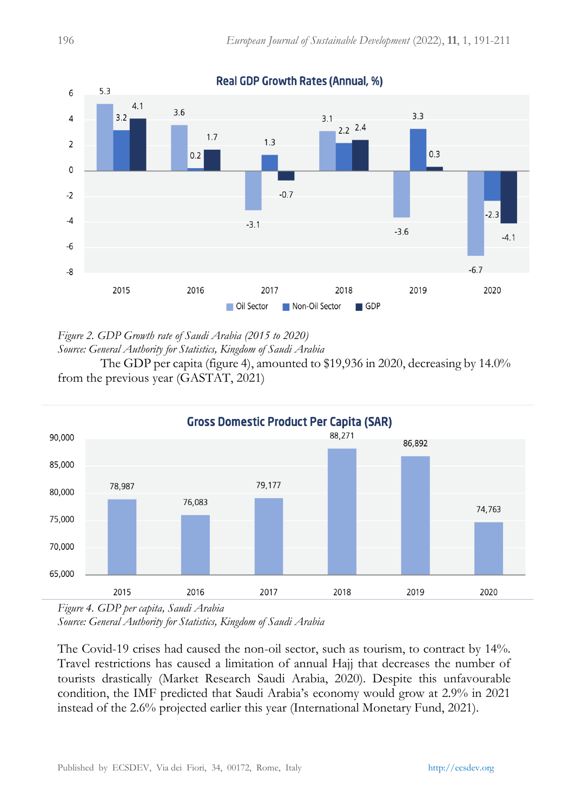

**Real GDP Growth Rates (Annual, %)** 

*Figure 2. GDP Growth rate of Saudi Arabia (2015 to 2020)*

*Source: General Authority for Statistics, Kingdom of Saudi Arabia*

The GDP per capita (figure 4), amounted to \$19,936 in 2020, decreasing by 14.0% from the previous year (GASTAT, 2021)



*Figure 4. GDP per capita, Saudi Arabia Source: General Authority for Statistics, Kingdom of Saudi Arabia*

The Covid-19 crises had caused the non-oil sector, such as tourism, to contract by 14%. Travel restrictions has caused a limitation of annual Hajj that decreases the number of tourists drastically (Market Research Saudi Arabia, 2020). Despite this unfavourable condition, the IMF predicted that Saudi Arabia's economy would grow at 2.9% in 2021 instead of the 2.6% projected earlier this year (International Monetary Fund, 2021).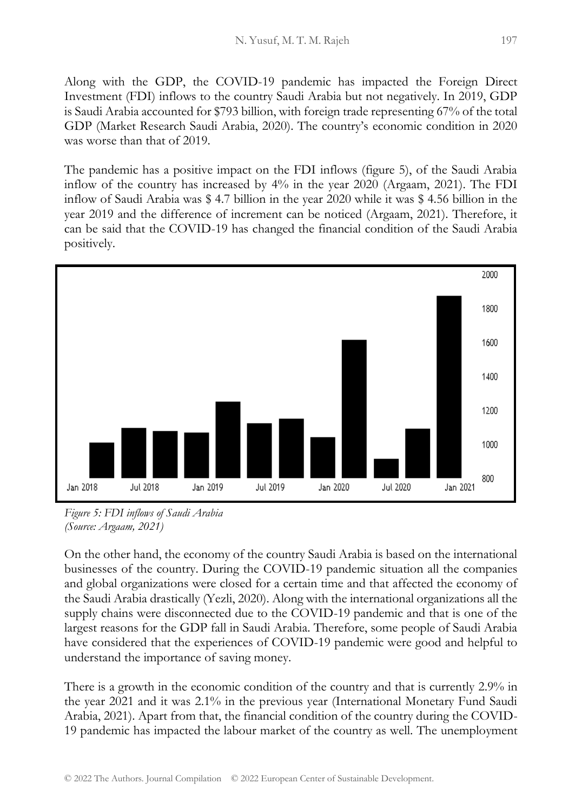Along with the GDP, the COVID-19 pandemic has impacted the Foreign Direct Investment (FDI) inflows to the country Saudi Arabia but not negatively. In 2019, GDP is Saudi Arabia accounted for \$793 billion, with foreign trade representing 67% of the total GDP (Market Research Saudi Arabia, 2020). The country's economic condition in 2020 was worse than that of 2019.

The pandemic has a positive impact on the FDI inflows (figure 5), of the Saudi Arabia inflow of the country has increased by 4% in the year 2020 (Argaam, 2021). The FDI inflow of Saudi Arabia was \$ 4.7 billion in the year 2020 while it was \$ 4.56 billion in the year 2019 and the difference of increment can be noticed (Argaam, 2021). Therefore, it can be said that the COVID-19 has changed the financial condition of the Saudi Arabia positively.



*Figure 5: FDI inflows of Saudi Arabia (Source: Argaam, 2021)*

On the other hand, the economy of the country Saudi Arabia is based on the international businesses of the country. During the COVID-19 pandemic situation all the companies and global organizations were closed for a certain time and that affected the economy of the Saudi Arabia drastically (Yezli, 2020). Along with the international organizations all the supply chains were disconnected due to the COVID-19 pandemic and that is one of the largest reasons for the GDP fall in Saudi Arabia. Therefore, some people of Saudi Arabia have considered that the experiences of COVID-19 pandemic were good and helpful to understand the importance of saving money.

There is a growth in the economic condition of the country and that is currently 2.9% in the year 2021 and it was 2.1% in the previous year (International Monetary Fund Saudi Arabia, 2021). Apart from that, the financial condition of the country during the COVID-19 pandemic has impacted the labour market of the country as well. The unemployment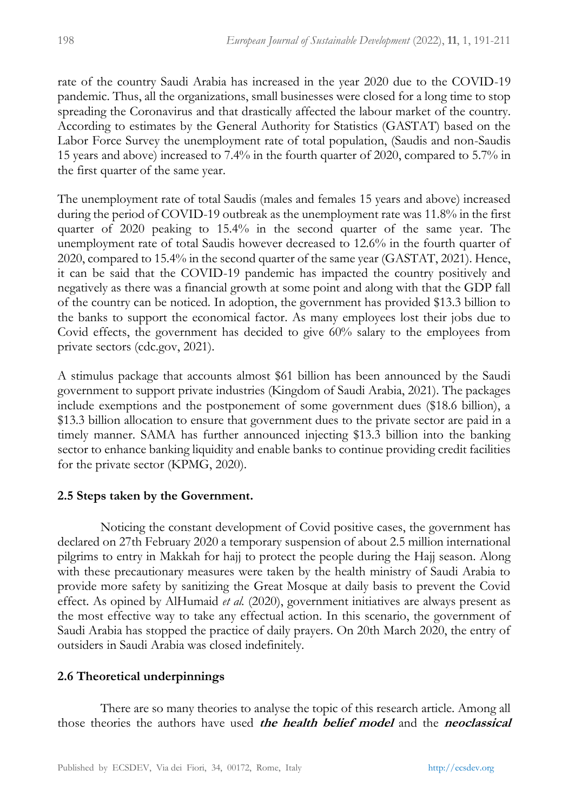rate of the country Saudi Arabia has increased in the year 2020 due to the COVID-19 pandemic. Thus, all the organizations, small businesses were closed for a long time to stop spreading the Coronavirus and that drastically affected the labour market of the country. According to estimates by the General Authority for Statistics (GASTAT) based on the Labor Force Survey the unemployment rate of total population, (Saudis and non-Saudis 15 years and above) increased to 7.4% in the fourth quarter of 2020, compared to 5.7% in the first quarter of the same year.

The unemployment rate of total Saudis (males and females 15 years and above) increased during the period of COVID-19 outbreak as the unemployment rate was 11.8% in the first quarter of 2020 peaking to 15.4% in the second quarter of the same year. The unemployment rate of total Saudis however decreased to 12.6% in the fourth quarter of 2020, compared to 15.4% in the second quarter of the same year (GASTAT, 2021). Hence, it can be said that the COVID-19 pandemic has impacted the country positively and negatively as there was a financial growth at some point and along with that the GDP fall of the country can be noticed. In adoption, the government has provided \$13.3 billion to the banks to support the economical factor. As many employees lost their jobs due to Covid effects, the government has decided to give 60% salary to the employees from private sectors (cdc.gov, 2021).

A stimulus package that accounts almost \$61 billion has been announced by the Saudi government to support private industries (Kingdom of Saudi Arabia, 2021). The packages include exemptions and the postponement of some government dues (\$18.6 billion), a \$13.3 billion allocation to ensure that government dues to the private sector are paid in a timely manner. SAMA has further announced injecting \$13.3 billion into the banking sector to enhance banking liquidity and enable banks to continue providing credit facilities for the private sector (KPMG, 2020).

### **2.5 Steps taken by the Government.**

Noticing the constant development of Covid positive cases, the government has declared on 27th February 2020 a temporary suspension of about 2.5 million international pilgrims to entry in Makkah for hajj to protect the people during the Hajj season. Along with these precautionary measures were taken by the health ministry of Saudi Arabia to provide more safety by sanitizing the Great Mosque at daily basis to prevent the Covid effect. As opined by AlHumaid *et al.* (2020), government initiatives are always present as the most effective way to take any effectual action. In this scenario, the government of Saudi Arabia has stopped the practice of daily prayers. On 20th March 2020, the entry of outsiders in Saudi Arabia was closed indefinitely.

# **2.6 Theoretical underpinnings**

There are so many theories to analyse the topic of this research article. Among all those theories the authors have used **the health belief model** and the **neoclassical**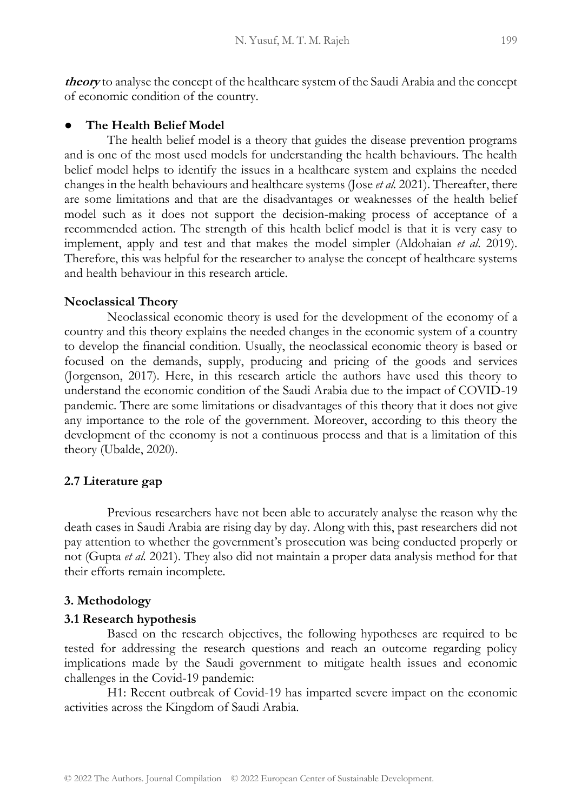**theory** to analyse the concept of the healthcare system of the Saudi Arabia and the concept of economic condition of the country.

# **The Health Belief Model**

The health belief model is a theory that guides the disease prevention programs and is one of the most used models for understanding the health behaviours. The health belief model helps to identify the issues in a healthcare system and explains the needed changes in the health behaviours and healthcare systems (Jose *et al.* 2021). Thereafter, there are some limitations and that are the disadvantages or weaknesses of the health belief model such as it does not support the decision-making process of acceptance of a recommended action. The strength of this health belief model is that it is very easy to implement, apply and test and that makes the model simpler (Aldohaian *et al*. 2019). Therefore, this was helpful for the researcher to analyse the concept of healthcare systems and health behaviour in this research article.

# **Neoclassical Theory**

Neoclassical economic theory is used for the development of the economy of a country and this theory explains the needed changes in the economic system of a country to develop the financial condition. Usually, the neoclassical economic theory is based or focused on the demands, supply, producing and pricing of the goods and services (Jorgenson, 2017). Here, in this research article the authors have used this theory to understand the economic condition of the Saudi Arabia due to the impact of COVID-19 pandemic. There are some limitations or disadvantages of this theory that it does not give any importance to the role of the government. Moreover, according to this theory the development of the economy is not a continuous process and that is a limitation of this theory (Ubalde, 2020).

# **2.7 Literature gap**

Previous researchers have not been able to accurately analyse the reason why the death cases in Saudi Arabia are rising day by day. Along with this, past researchers did not pay attention to whether the government's prosecution was being conducted properly or not (Gupta *et al.* 2021). They also did not maintain a proper data analysis method for that their efforts remain incomplete.

# **3. Methodology**

### **3.1 Research hypothesis**

Based on the research objectives, the following hypotheses are required to be tested for addressing the research questions and reach an outcome regarding policy implications made by the Saudi government to mitigate health issues and economic challenges in the Covid-19 pandemic:

H1: Recent outbreak of Covid-19 has imparted severe impact on the economic activities across the Kingdom of Saudi Arabia.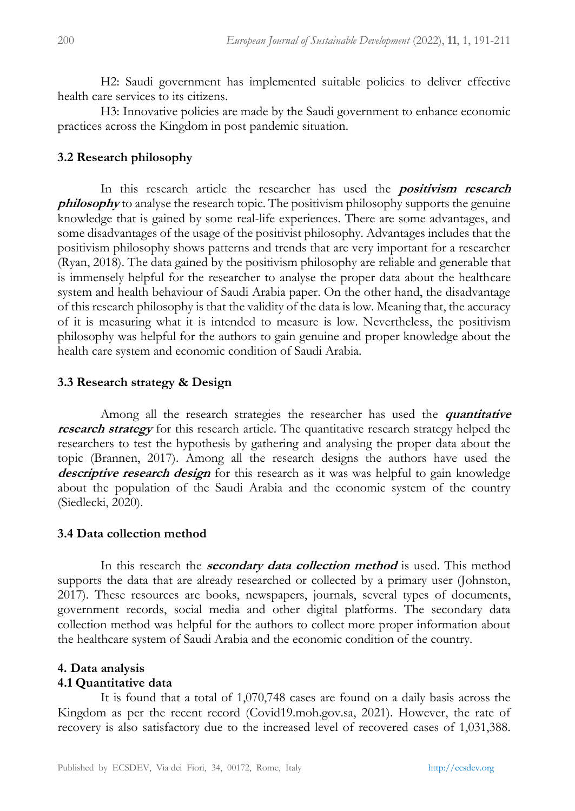H2: Saudi government has implemented suitable policies to deliver effective health care services to its citizens.

H3: Innovative policies are made by the Saudi government to enhance economic practices across the Kingdom in post pandemic situation.

### **3.2 Research philosophy**

In this research article the researcher has used the **positivism research**  *philosophy* to analyse the research topic. The positivism philosophy supports the genuine knowledge that is gained by some real-life experiences. There are some advantages, and some disadvantages of the usage of the positivist philosophy. Advantages includes that the positivism philosophy shows patterns and trends that are very important for a researcher (Ryan, 2018). The data gained by the positivism philosophy are reliable and generable that is immensely helpful for the researcher to analyse the proper data about the healthcare system and health behaviour of Saudi Arabia paper. On the other hand, the disadvantage of this research philosophy is that the validity of the data is low. Meaning that, the accuracy of it is measuring what it is intended to measure is low. Nevertheless, the positivism philosophy was helpful for the authors to gain genuine and proper knowledge about the health care system and economic condition of Saudi Arabia.

# **3.3 Research strategy & Design**

Among all the research strategies the researcher has used the *quantitative* **research strategy** for this research article. The quantitative research strategy helped the researchers to test the hypothesis by gathering and analysing the proper data about the topic (Brannen, 2017). Among all the research designs the authors have used the **descriptive research design** for this research as it was was helpful to gain knowledge about the population of the Saudi Arabia and the economic system of the country (Siedlecki, 2020).

### **3.4 Data collection method**

In this research the **secondary data collection method** is used. This method supports the data that are already researched or collected by a primary user (Johnston, 2017). These resources are books, newspapers, journals, several types of documents, government records, social media and other digital platforms. The secondary data collection method was helpful for the authors to collect more proper information about the healthcare system of Saudi Arabia and the economic condition of the country.

# **4. Data analysis**

### **4.1 Quantitative data**

It is found that a total of 1,070,748 cases are found on a daily basis across the Kingdom as per the recent record (Covid19.moh.gov.sa, 2021). However, the rate of recovery is also satisfactory due to the increased level of recovered cases of 1,031,388.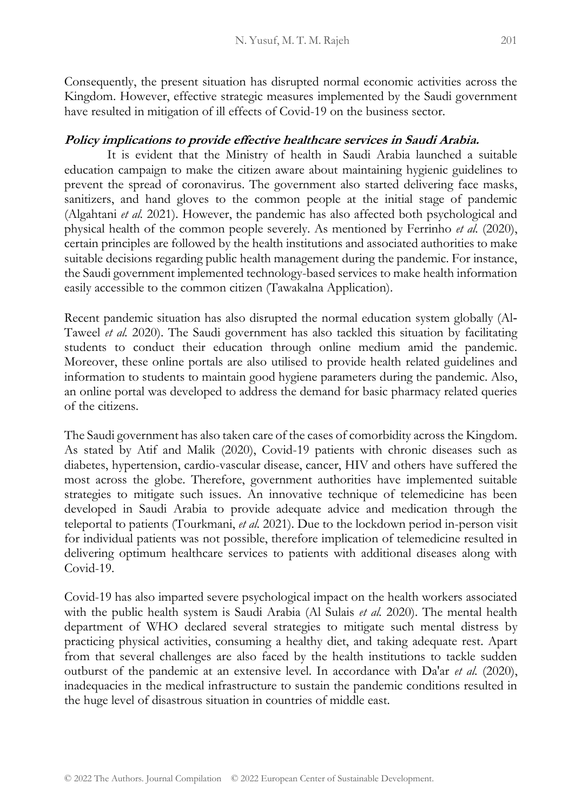Consequently, the present situation has disrupted normal economic activities across the Kingdom. However, effective strategic measures implemented by the Saudi government have resulted in mitigation of ill effects of Covid-19 on the business sector.

# **Policy implications to provide effective healthcare services in Saudi Arabia.**

It is evident that the Ministry of health in Saudi Arabia launched a suitable education campaign to make the citizen aware about maintaining hygienic guidelines to prevent the spread of coronavirus. The government also started delivering face masks, sanitizers, and hand gloves to the common people at the initial stage of pandemic (Algahtani *et al.* 2021). However, the pandemic has also affected both psychological and physical health of the common people severely. As mentioned by Ferrinho *et al.* (2020), certain principles are followed by the health institutions and associated authorities to make suitable decisions regarding public health management during the pandemic. For instance, the Saudi government implemented technology-based services to make health information easily accessible to the common citizen (Tawakalna Application).

Recent pandemic situation has also disrupted the normal education system globally (Al‐ Taweel *et al.* 2020). The Saudi government has also tackled this situation by facilitating students to conduct their education through online medium amid the pandemic. Moreover, these online portals are also utilised to provide health related guidelines and information to students to maintain good hygiene parameters during the pandemic. Also, an online portal was developed to address the demand for basic pharmacy related queries of the citizens.

The Saudi government has also taken care of the cases of comorbidity across the Kingdom. As stated by Atif and Malik (2020), Covid-19 patients with chronic diseases such as diabetes, hypertension, cardio-vascular disease, cancer, HIV and others have suffered the most across the globe. Therefore, government authorities have implemented suitable strategies to mitigate such issues. An innovative technique of telemedicine has been developed in Saudi Arabia to provide adequate advice and medication through the teleportal to patients (Tourkmani, *et al.* 2021). Due to the lockdown period in-person visit for individual patients was not possible, therefore implication of telemedicine resulted in delivering optimum healthcare services to patients with additional diseases along with Covid-19.

Covid-19 has also imparted severe psychological impact on the health workers associated with the public health system is Saudi Arabia (Al Sulais *et al.* 2020). The mental health department of WHO declared several strategies to mitigate such mental distress by practicing physical activities, consuming a healthy diet, and taking adequate rest. Apart from that several challenges are also faced by the health institutions to tackle sudden outburst of the pandemic at an extensive level. In accordance with Da'ar *et al.* (2020), inadequacies in the medical infrastructure to sustain the pandemic conditions resulted in the huge level of disastrous situation in countries of middle east.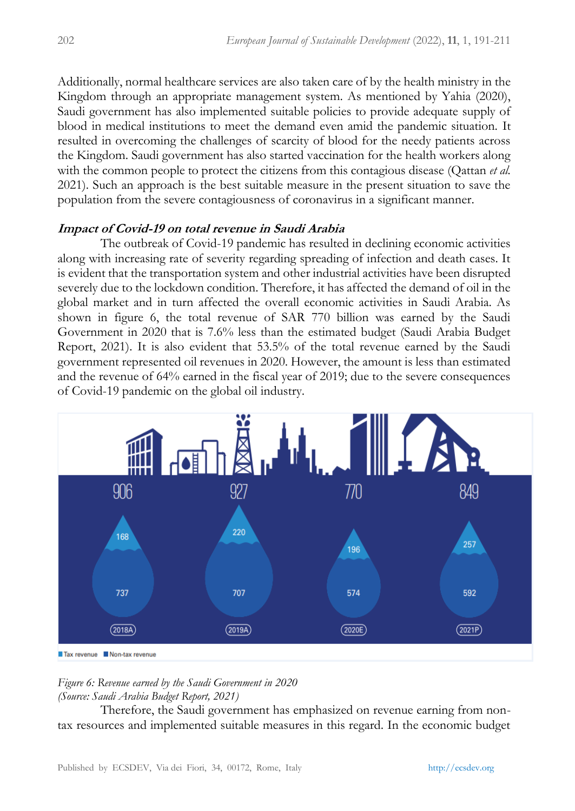Additionally, normal healthcare services are also taken care of by the health ministry in the Kingdom through an appropriate management system. As mentioned by Yahia (2020), Saudi government has also implemented suitable policies to provide adequate supply of blood in medical institutions to meet the demand even amid the pandemic situation. It resulted in overcoming the challenges of scarcity of blood for the needy patients across the Kingdom. Saudi government has also started vaccination for the health workers along with the common people to protect the citizens from this contagious disease (Qattan *et al.*  2021). Such an approach is the best suitable measure in the present situation to save the population from the severe contagiousness of coronavirus in a significant manner.

### **Impact of Covid-19 on total revenue in Saudi Arabia**

The outbreak of Covid-19 pandemic has resulted in declining economic activities along with increasing rate of severity regarding spreading of infection and death cases. It is evident that the transportation system and other industrial activities have been disrupted severely due to the lockdown condition. Therefore, it has affected the demand of oil in the global market and in turn affected the overall economic activities in Saudi Arabia. As shown in figure 6, the total revenue of SAR 770 billion was earned by the Saudi Government in 2020 that is 7.6% less than the estimated budget (Saudi Arabia Budget Report, 2021). It is also evident that 53.5% of the total revenue earned by the Saudi government represented oil revenues in 2020. However, the amount is less than estimated and the revenue of 64% earned in the fiscal year of 2019; due to the severe consequences of Covid-19 pandemic on the global oil industry.



#### *Figure 6: Revenue earned by the Saudi Government in 2020 (Source: Saudi Arabia Budget Report, 2021)*

Therefore, the Saudi government has emphasized on revenue earning from nontax resources and implemented suitable measures in this regard. In the economic budget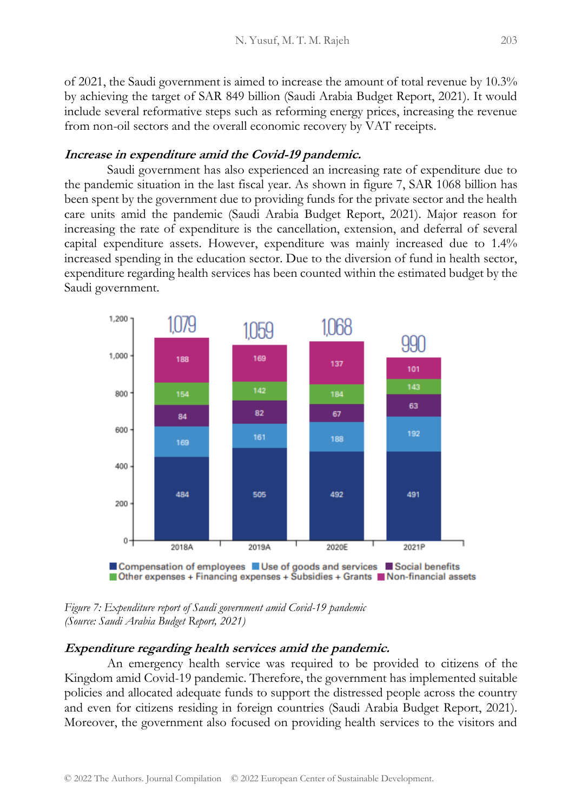of 2021, the Saudi government is aimed to increase the amount of total revenue by 10.3% by achieving the target of SAR 849 billion (Saudi Arabia Budget Report, 2021). It would include several reformative steps such as reforming energy prices, increasing the revenue from non-oil sectors and the overall economic recovery by VAT receipts.

### **Increase in expenditure amid the Covid-19 pandemic.**

Saudi government has also experienced an increasing rate of expenditure due to the pandemic situation in the last fiscal year. As shown in figure 7, SAR 1068 billion has been spent by the government due to providing funds for the private sector and the health care units amid the pandemic (Saudi Arabia Budget Report, 2021). Major reason for increasing the rate of expenditure is the cancellation, extension, and deferral of several capital expenditure assets. However, expenditure was mainly increased due to 1.4% increased spending in the education sector. Due to the diversion of fund in health sector, expenditure regarding health services has been counted within the estimated budget by the Saudi government.



*Figure 7: Expenditure report of Saudi government amid Covid-19 pandemic (Source: Saudi Arabia Budget Report, 2021)* 

#### **Expenditure regarding health services amid the pandemic.**

An emergency health service was required to be provided to citizens of the Kingdom amid Covid-19 pandemic. Therefore, the government has implemented suitable policies and allocated adequate funds to support the distressed people across the country and even for citizens residing in foreign countries (Saudi Arabia Budget Report, 2021). Moreover, the government also focused on providing health services to the visitors and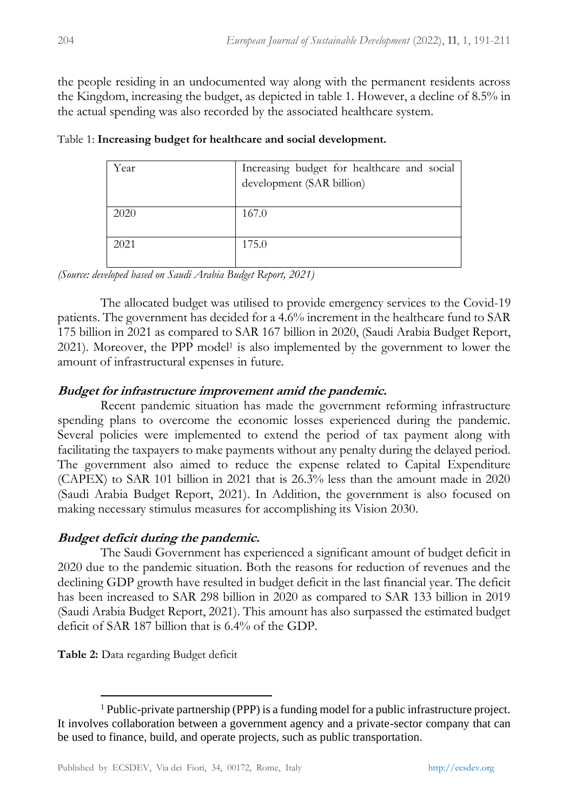the people residing in an undocumented way along with the permanent residents across the Kingdom, increasing the budget, as depicted in table 1. However, a decline of 8.5% in the actual spending was also recorded by the associated healthcare system.

| Year | Increasing budget for healthcare and social |
|------|---------------------------------------------|
|      | development (SAR billion)                   |
|      |                                             |
| 2020 | 167.0                                       |
|      |                                             |
| 2021 | 175.0                                       |
|      |                                             |

| Table 1: Increasing budget for healthcare and social development. |  |  |  |
|-------------------------------------------------------------------|--|--|--|
|-------------------------------------------------------------------|--|--|--|

*(Source: developed based on Saudi Arabia Budget Report, 2021)*

The allocated budget was utilised to provide emergency services to the Covid-19 patients. The government has decided for a 4.6% increment in the healthcare fund to SAR 175 billion in 2021 as compared to SAR 167 billion in 2020, (Saudi Arabia Budget Report, 2021). Moreover, the PPP model<sup>1</sup> is also implemented by the government to lower the amount of infrastructural expenses in future.

# **Budget for infrastructure improvement amid the pandemic.**

Recent pandemic situation has made the government reforming infrastructure spending plans to overcome the economic losses experienced during the pandemic. Several policies were implemented to extend the period of tax payment along with facilitating the taxpayers to make payments without any penalty during the delayed period. The government also aimed to reduce the expense related to Capital Expenditure (CAPEX) to SAR 101 billion in 2021 that is 26.3% less than the amount made in 2020 (Saudi Arabia Budget Report, 2021). In Addition, the government is also focused on making necessary stimulus measures for accomplishing its Vision 2030.

# **Budget deficit during the pandemic.**

The Saudi Government has experienced a significant amount of budget deficit in 2020 due to the pandemic situation. Both the reasons for reduction of revenues and the declining GDP growth have resulted in budget deficit in the last financial year. The deficit has been increased to SAR 298 billion in 2020 as compared to SAR 133 billion in 2019 (Saudi Arabia Budget Report, 2021). This amount has also surpassed the estimated budget deficit of SAR 187 billion that is 6.4% of the GDP.

**Table 2:** Data regarding Budget deficit

<sup>1</sup> Public-private partnership (PPP) is a funding model for a public infrastructure project. It involves collaboration between a government agency and a private-sector company that can be used to finance, build, and operate projects, such as public transportation.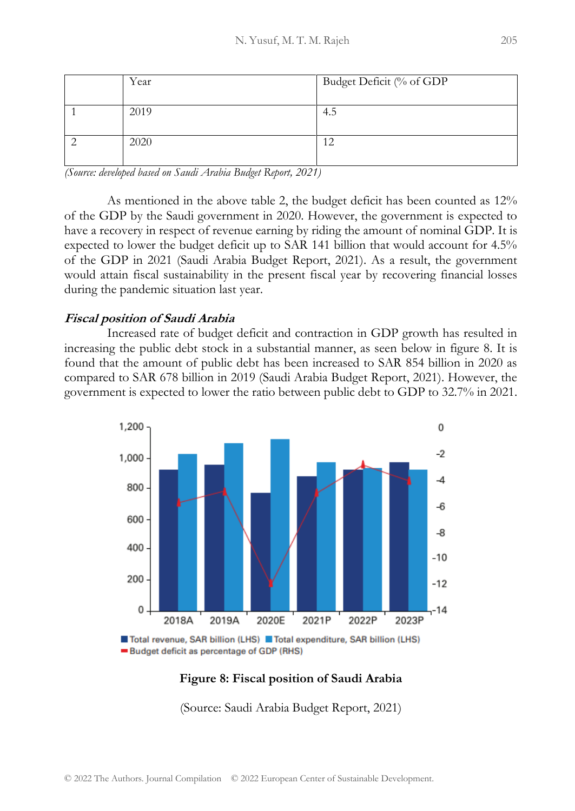| Year | Budget Deficit (% of GDP |
|------|--------------------------|
| 2019 | 4.5                      |
| 2020 |                          |

*(Source: developed based on Saudi Arabia Budget Report, 2021)* 

As mentioned in the above table 2, the budget deficit has been counted as 12% of the GDP by the Saudi government in 2020. However, the government is expected to have a recovery in respect of revenue earning by riding the amount of nominal GDP. It is expected to lower the budget deficit up to SAR 141 billion that would account for 4.5% of the GDP in 2021 (Saudi Arabia Budget Report, 2021). As a result, the government would attain fiscal sustainability in the present fiscal year by recovering financial losses during the pandemic situation last year.

### **Fiscal position of Saudi Arabia**

Increased rate of budget deficit and contraction in GDP growth has resulted in increasing the public debt stock in a substantial manner, as seen below in figure 8. It is found that the amount of public debt has been increased to SAR 854 billion in 2020 as compared to SAR 678 billion in 2019 (Saudi Arabia Budget Report, 2021). However, the government is expected to lower the ratio between public debt to GDP to 32.7% in 2021.



Total revenue, SAR billion (LHS) Total expenditure, SAR billion (LHS) Budget deficit as percentage of GDP (RHS)

### **Figure 8: Fiscal position of Saudi Arabia**

(Source: Saudi Arabia Budget Report, 2021)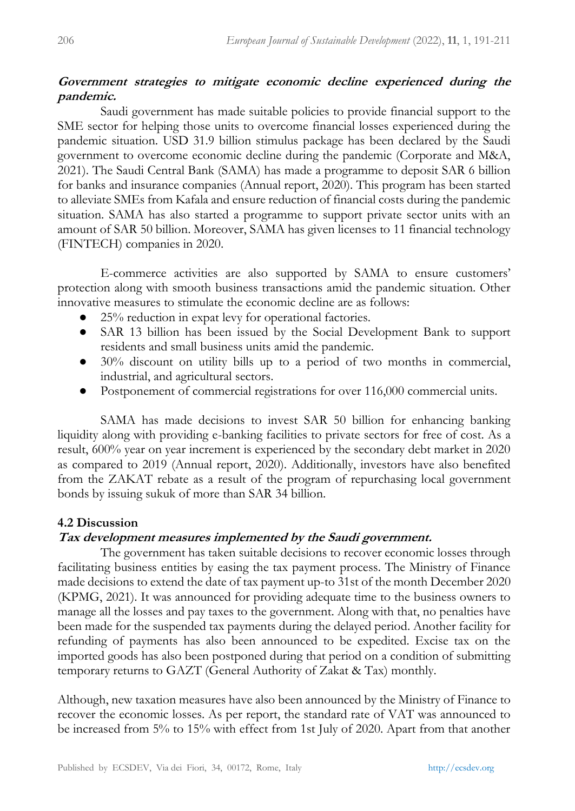### **Government strategies to mitigate economic decline experienced during the pandemic.**

Saudi government has made suitable policies to provide financial support to the SME sector for helping those units to overcome financial losses experienced during the pandemic situation. USD 31.9 billion stimulus package has been declared by the Saudi government to overcome economic decline during the pandemic (Corporate and M&A, 2021). The Saudi Central Bank (SAMA) has made a programme to deposit SAR 6 billion for banks and insurance companies (Annual report, 2020). This program has been started to alleviate SMEs from Kafala and ensure reduction of financial costs during the pandemic situation. SAMA has also started a programme to support private sector units with an amount of SAR 50 billion. Moreover, SAMA has given licenses to 11 financial technology (FINTECH) companies in 2020.

E-commerce activities are also supported by SAMA to ensure customers' protection along with smooth business transactions amid the pandemic situation. Other innovative measures to stimulate the economic decline are as follows:

- 25% reduction in expat levy for operational factories.
- SAR 13 billion has been issued by the Social Development Bank to support residents and small business units amid the pandemic.
- 30% discount on utility bills up to a period of two months in commercial, industrial, and agricultural sectors.
- Postponement of commercial registrations for over 116,000 commercial units.

SAMA has made decisions to invest SAR 50 billion for enhancing banking liquidity along with providing e-banking facilities to private sectors for free of cost. As a result, 600% year on year increment is experienced by the secondary debt market in 2020 as compared to 2019 (Annual report, 2020). Additionally, investors have also benefited from the ZAKAT rebate as a result of the program of repurchasing local government bonds by issuing sukuk of more than SAR 34 billion.

# **4.2 Discussion**

### **Tax development measures implemented by the Saudi government.**

The government has taken suitable decisions to recover economic losses through facilitating business entities by easing the tax payment process. The Ministry of Finance made decisions to extend the date of tax payment up-to 31st of the month December 2020 (KPMG, 2021). It was announced for providing adequate time to the business owners to manage all the losses and pay taxes to the government. Along with that, no penalties have been made for the suspended tax payments during the delayed period. Another facility for refunding of payments has also been announced to be expedited. Excise tax on the imported goods has also been postponed during that period on a condition of submitting temporary returns to GAZT (General Authority of Zakat & Tax) monthly.

Although, new taxation measures have also been announced by the Ministry of Finance to recover the economic losses. As per report, the standard rate of VAT was announced to be increased from 5% to 15% with effect from 1st July of 2020. Apart from that another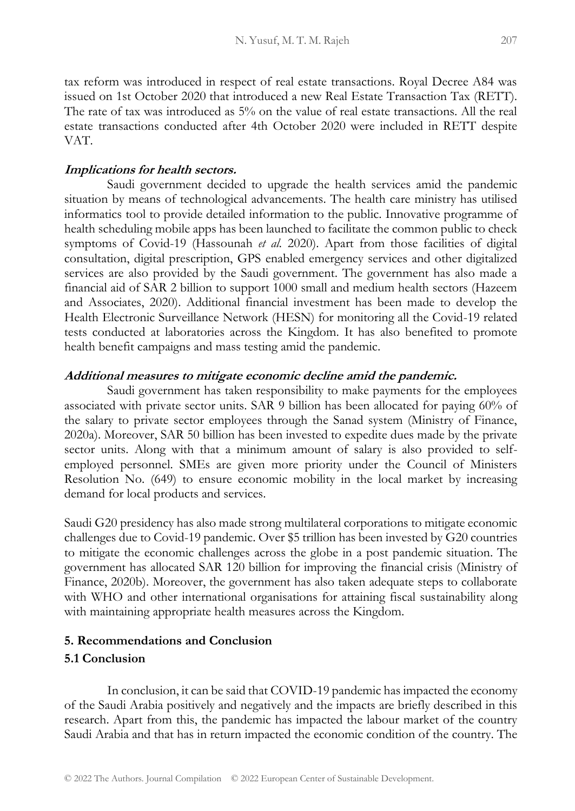tax reform was introduced in respect of real estate transactions. Royal Decree A84 was issued on 1st October 2020 that introduced a new Real Estate Transaction Tax (RETT). The rate of tax was introduced as 5% on the value of real estate transactions. All the real estate transactions conducted after 4th October 2020 were included in RETT despite VAT.

### **Implications for health sectors.**

Saudi government decided to upgrade the health services amid the pandemic situation by means of technological advancements. The health care ministry has utilised informatics tool to provide detailed information to the public. Innovative programme of health scheduling mobile apps has been launched to facilitate the common public to check symptoms of Covid-19 (Hassounah *et al.* 2020). Apart from those facilities of digital consultation, digital prescription, GPS enabled emergency services and other digitalized services are also provided by the Saudi government. The government has also made a financial aid of SAR 2 billion to support 1000 small and medium health sectors (Hazeem and Associates, 2020). Additional financial investment has been made to develop the Health Electronic Surveillance Network (HESN) for monitoring all the Covid-19 related tests conducted at laboratories across the Kingdom. It has also benefited to promote health benefit campaigns and mass testing amid the pandemic.

### **Additional measures to mitigate economic decline amid the pandemic.**

Saudi government has taken responsibility to make payments for the employees associated with private sector units. SAR 9 billion has been allocated for paying 60% of the salary to private sector employees through the Sanad system (Ministry of Finance, 2020a). Moreover, SAR 50 billion has been invested to expedite dues made by the private sector units. Along with that a minimum amount of salary is also provided to selfemployed personnel. SMEs are given more priority under the Council of Ministers Resolution No. (649) to ensure economic mobility in the local market by increasing demand for local products and services.

Saudi G20 presidency has also made strong multilateral corporations to mitigate economic challenges due to Covid-19 pandemic. Over \$5 trillion has been invested by G20 countries to mitigate the economic challenges across the globe in a post pandemic situation. The government has allocated SAR 120 billion for improving the financial crisis (Ministry of Finance, 2020b). Moreover, the government has also taken adequate steps to collaborate with WHO and other international organisations for attaining fiscal sustainability along with maintaining appropriate health measures across the Kingdom.

### **5. Recommendations and Conclusion**

### **5.1 Conclusion**

In conclusion, it can be said that COVID-19 pandemic has impacted the economy of the Saudi Arabia positively and negatively and the impacts are briefly described in this research. Apart from this, the pandemic has impacted the labour market of the country Saudi Arabia and that has in return impacted the economic condition of the country. The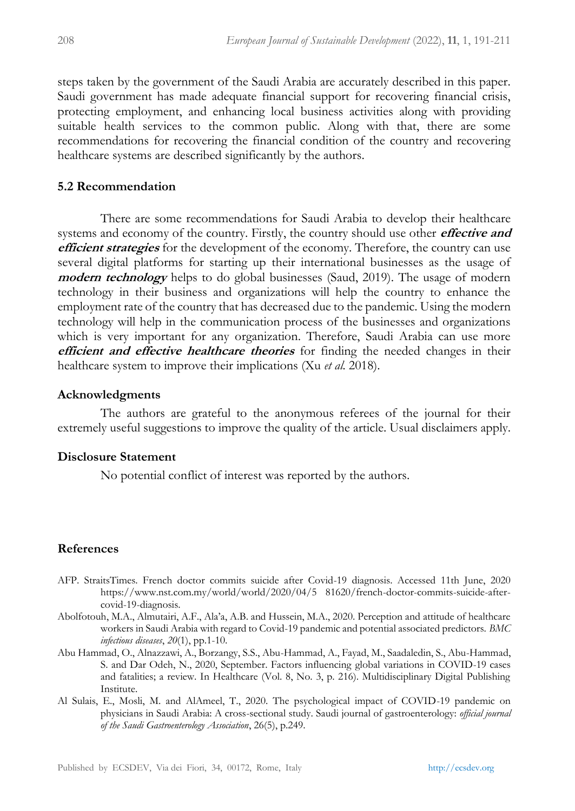steps taken by the government of the Saudi Arabia are accurately described in this paper. Saudi government has made adequate financial support for recovering financial crisis, protecting employment, and enhancing local business activities along with providing suitable health services to the common public. Along with that, there are some recommendations for recovering the financial condition of the country and recovering healthcare systems are described significantly by the authors.

### **5.2 Recommendation**

There are some recommendations for Saudi Arabia to develop their healthcare systems and economy of the country. Firstly, the country should use other **effective and efficient strategies** for the development of the economy. Therefore, the country can use several digital platforms for starting up their international businesses as the usage of **modern technology** helps to do global businesses (Saud, 2019). The usage of modern technology in their business and organizations will help the country to enhance the employment rate of the country that has decreased due to the pandemic. Using the modern technology will help in the communication process of the businesses and organizations which is very important for any organization. Therefore, Saudi Arabia can use more **efficient and effective healthcare theories** for finding the needed changes in their healthcare system to improve their implications (Xu *et al.* 2018).

### **Acknowledgments**

The authors are grateful to the anonymous referees of the journal for their extremely useful suggestions to improve the quality of the article. Usual disclaimers apply.

### **Disclosure Statement**

No potential conflict of interest was reported by the authors.

### **References**

- AFP. StraitsTimes. French doctor commits suicide after Covid-19 diagnosis. Accessed 11th June, 2020 https://www.nst.com.my/world/world/2020/04/5 81620/french-doctor-commits-suicide-aftercovid-19-diagnosis.
- Abolfotouh, M.A., Almutairi, A.F., Ala'a, A.B. and Hussein, M.A., 2020. Perception and attitude of healthcare workers in Saudi Arabia with regard to Covid-19 pandemic and potential associated predictors. *BMC infectious diseases*, *20*(1), pp.1-10.
- Abu Hammad, O., Alnazzawi, A., Borzangy, S.S., Abu-Hammad, A., Fayad, M., Saadaledin, S., Abu-Hammad, S. and Dar Odeh, N., 2020, September. Factors influencing global variations in COVID-19 cases and fatalities; a review. In Healthcare (Vol. 8, No. 3, p. 216). Multidisciplinary Digital Publishing Institute.
- Al Sulais, E., Mosli, M. and AlAmeel, T., 2020. The psychological impact of COVID-19 pandemic on physicians in Saudi Arabia: A cross-sectional study. Saudi journal of gastroenterology: *official journal of the Saudi Gastroenterology Association*, 26(5), p.249.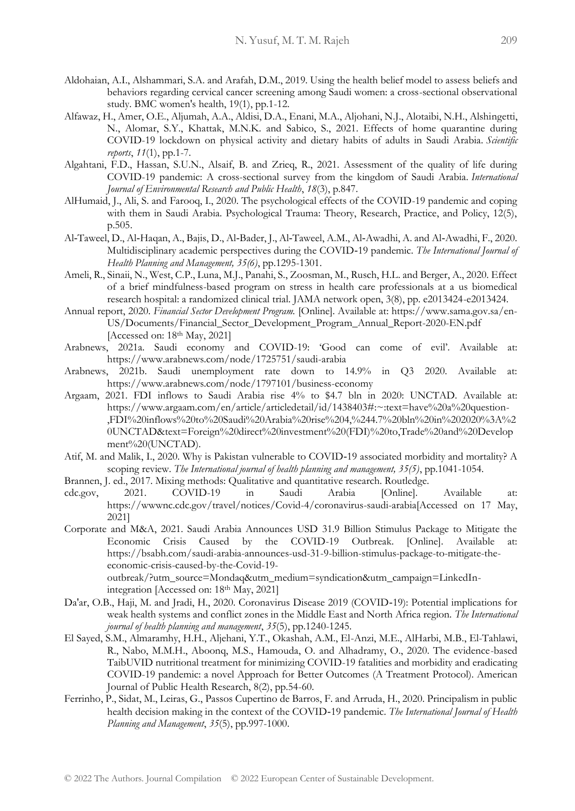- Aldohaian, A.I., Alshammari, S.A. and Arafah, D.M., 2019. Using the health belief model to assess beliefs and behaviors regarding cervical cancer screening among Saudi women: a cross-sectional observational study. BMC women's health, 19(1), pp.1-12.
- Alfawaz, H., Amer, O.E., Aljumah, A.A., Aldisi, D.A., Enani, M.A., Aljohani, N.J., Alotaibi, N.H., Alshingetti, N., Alomar, S.Y., Khattak, M.N.K. and Sabico, S., 2021. Effects of home quarantine during COVID-19 lockdown on physical activity and dietary habits of adults in Saudi Arabia. *Scientific reports*, *11*(1), pp.1-7.
- Algahtani, F.D., Hassan, S.U.N., Alsaif, B. and Zrieq, R., 2021. Assessment of the quality of life during COVID-19 pandemic: A cross-sectional survey from the kingdom of Saudi Arabia. *International Journal of Environmental Research and Public Health*, *18*(3), p.847.
- AlHumaid, J., Ali, S. and Farooq, I., 2020. The psychological effects of the COVID-19 pandemic and coping with them in Saudi Arabia. Psychological Trauma: Theory, Research, Practice, and Policy, 12(5), p.505.
- Al‐Taweel, D., Al‐Haqan, A., Bajis, D., Al‐Bader, J., Al‐Taweel, A.M., Al‐Awadhi, A. and Al‐Awadhi, F., 2020. Multidisciplinary academic perspectives during the COVID‐19 pandemic. *The International Journal of Health Planning and Management, 35(6)*, pp.1295-1301.
- Ameli, R., Sinaii, N., West, C.P., Luna, M.J., Panahi, S., Zoosman, M., Rusch, H.L. and Berger, A., 2020. Effect of a brief mindfulness-based program on stress in health care professionals at a us biomedical research hospital: a randomized clinical trial. JAMA network open, 3(8), pp. e2013424-e2013424.
- Annual report, 2020. *Financial Sector Development Program.* [Online]. Available at: https://www.sama.gov.sa/en-US/Documents/Financial\_Sector\_Development\_Program\_Annual\_Report-2020-EN.pdf [Accessed on: 18<sup>th</sup> May, 2021]
- Arabnews, 2021a. Saudi economy and COVID-19: 'Good can come of evil'. Available at: https://www.arabnews.com/node/1725751/saudi-arabia
- Arabnews, 2021b. Saudi unemployment rate down to 14.9% in Q3 2020. Available at: https://www.arabnews.com/node/1797101/business-economy
- Argaam, 2021. FDI inflows to Saudi Arabia rise 4% to \$4.7 bln in 2020: UNCTAD. Available at: https://www.argaam.com/en/article/articledetail/id/1438403#:~:text=have%20a%20question- ,FDI%20inflows%20to%20Saudi%20Arabia%20rise%204,%244.7%20bln%20in%202020%3A%2 0UNCTAD&text=Foreign%20direct%20investment%20(FDI)%20to,Trade%20and%20Develop ment%20(UNCTAD).
- Atif, M. and Malik, I., 2020. Why is Pakistan vulnerable to COVID-19 associated morbidity and mortality? A scoping review. *The International journal of health planning and management, 35(5)*, pp.1041-1054.
- Brannen, J. ed., 2017. Mixing methods: Qualitative and quantitative research. Routledge.
- cdc.gov, 2021. COVID-19 in Saudi Arabia [Online]. Available at: https://wwwnc.cdc.gov/travel/notices/Covid-4/coronavirus-saudi-arabia[Accessed on 17 May, 2021]
- Corporate and M&A, 2021. Saudi Arabia Announces USD 31.9 Billion Stimulus Package to Mitigate the Economic Crisis Caused by the COVID-19 Outbreak. [Online]. Available at: https://bsabh.com/saudi-arabia-announces-usd-31-9-billion-stimulus-package-to-mitigate-theeconomic-crisis-caused-by-the-Covid-19 outbreak/?utm\_source=Mondaq&utm\_medium=syndication&utm\_campaign=LinkedInintegration [Accessed on: 18th May, 2021]
- Da'ar, O.B., Haji, M. and Jradi, H., 2020. Coronavirus Disease 2019 (COVID‐19): Potential implications for weak health systems and conflict zones in the Middle East and North Africa region. *The International journal of health planning and management*, *35*(5), pp.1240-1245.
- El Sayed, S.M., Almaramhy, H.H., Aljehani, Y.T., Okashah, A.M., El-Anzi, M.E., AlHarbi, M.B., El-Tahlawi, R., Nabo, M.M.H., Aboonq, M.S., Hamouda, O. and Alhadramy, O., 2020. The evidence-based TaibUVID nutritional treatment for minimizing COVID-19 fatalities and morbidity and eradicating COVID-19 pandemic: a novel Approach for Better Outcomes (A Treatment Protocol). American Journal of Public Health Research, 8(2), pp.54-60.
- Ferrinho, P., Sidat, M., Leiras, G., Passos Cupertino de Barros, F. and Arruda, H., 2020. Principalism in public health decision making in the context of the COVID-19 pandemic. *The International Journal of Health Planning and Management*, *35*(5), pp.997-1000.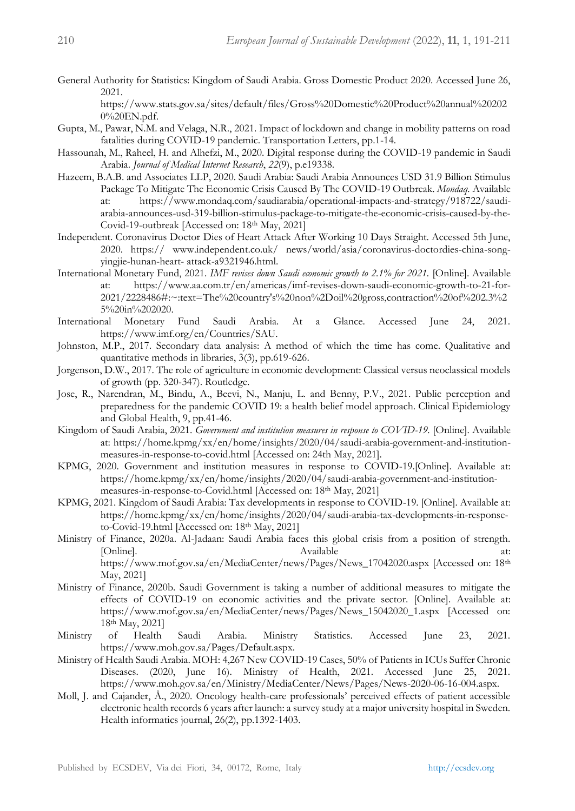General Authority for Statistics: Kingdom of Saudi Arabia. Gross Domestic Product 2020. Accessed June 26, 2021.

https://www.stats.gov.sa/sites/default/files/Gross%20Domestic%20Product%20annual%20202 0%20EN.pdf.

- Gupta, M., Pawar, N.M. and Velaga, N.R., 2021. Impact of lockdown and change in mobility patterns on road fatalities during COVID-19 pandemic. Transportation Letters, pp.1-14.
- Hassounah, M., Raheel, H. and Alhefzi, M., 2020. Digital response during the COVID-19 pandemic in Saudi Arabia. *Journal of Medical Internet Research*, *22*(9), p.e19338.
- Hazeem, B.A.B. and Associates LLP, 2020. Saudi Arabia: Saudi Arabia Announces USD 31.9 Billion Stimulus Package To Mitigate The Economic Crisis Caused By The COVID-19 Outbreak. *Mondaq.* Available at: https://www.mondaq.com/saudiarabia/operational-impacts-and-strategy/918722/saudiarabia-announces-usd-319-billion-stimulus-package-to-mitigate-the-economic-crisis-caused-by-the-Covid-19-outbreak [Accessed on: 18th May, 2021]
- Independent. Coronavirus Doctor Dies of Heart Attack After Working 10 Days Straight. Accessed 5th June, 2020. https:// www.independent.co.uk/ news/world/asia/coronavirus-doctordies-china-songyingjie-hunan-heart- attack-a9321946.html.
- International Monetary Fund, 2021. *IMF revises down Saudi economic growth to 2.1% for 2021.* [Online]. Available at: https://www.aa.com.tr/en/americas/imf-revises-down-saudi-economic-growth-to-21-for-2021/2228486#:~:text=The%20country's%20non%2Doil%20gross,contraction%20of%202.3%2 5%20in%202020.
- International Monetary Fund Saudi Arabia. At a Glance. Accessed June 24, 2021. https://www.imf.org/en/Countries/SAU.
- Johnston, M.P., 2017. Secondary data analysis: A method of which the time has come. Qualitative and quantitative methods in libraries, 3(3), pp.619-626.
- Jorgenson, D.W., 2017. The role of agriculture in economic development: Classical versus neoclassical models of growth (pp. 320-347). Routledge.
- Jose, R., Narendran, M., Bindu, A., Beevi, N., Manju, L. and Benny, P.V., 2021. Public perception and preparedness for the pandemic COVID 19: a health belief model approach. Clinical Epidemiology and Global Health, 9, pp.41-46.
- Kingdom of Saudi Arabia, 2021. *Government and institution measures in response to COVID-19*. [Online]. Available at: https://home.kpmg/xx/en/home/insights/2020/04/saudi-arabia-government-and-institutionmeasures-in-response-to-covid.html [Accessed on: 24th May, 2021].
- KPMG, 2020. Government and institution measures in response to COVID-19.[Online]. Available at: https://home.kpmg/xx/en/home/insights/2020/04/saudi-arabia-government-and-institutionmeasures-in-response-to-Covid.html [Accessed on: 18th May, 2021]
- KPMG, 2021. Kingdom of Saudi Arabia: Tax developments in response to COVID-19. [Online]. Available at: https://home.kpmg/xx/en/home/insights/2020/04/saudi-arabia-tax-developments-in-responseto-Covid-19.html [Accessed on: 18th May, 2021]
- Ministry of Finance, 2020a. Al-Jadaan: Saudi Arabia faces this global crisis from a position of strength. [Online]. Available at: https://www.mof.gov.sa/en/MediaCenter/news/Pages/News\_17042020.aspx [Accessed on: 18th May, 2021]
- Ministry of Finance, 2020b. Saudi Government is taking a number of additional measures to mitigate the effects of COVID-19 on economic activities and the private sector. [Online]. Available at: https://www.mof.gov.sa/en/MediaCenter/news/Pages/News\_15042020\_1.aspx [Accessed on: 18th May, 2021]
- Ministry of Health Saudi Arabia. Ministry Statistics. Accessed June 23, 2021. https://www.moh.gov.sa/Pages/Default.aspx.
- Ministry of Health Saudi Arabia. MOH: 4,267 New COVID-19 Cases, 50% of Patients in ICUs Suffer Chronic Diseases. (2020, June 16). Ministry of Health, 2021. Accessed June 25, 2021. https://www.moh.gov.sa/en/Ministry/MediaCenter/News/Pages/News-2020-06-16-004.aspx.
- Moll, J. and Cajander, Å., 2020. Oncology health-care professionals' perceived effects of patient accessible electronic health records 6 years after launch: a survey study at a major university hospital in Sweden. Health informatics journal, 26(2), pp.1392-1403.